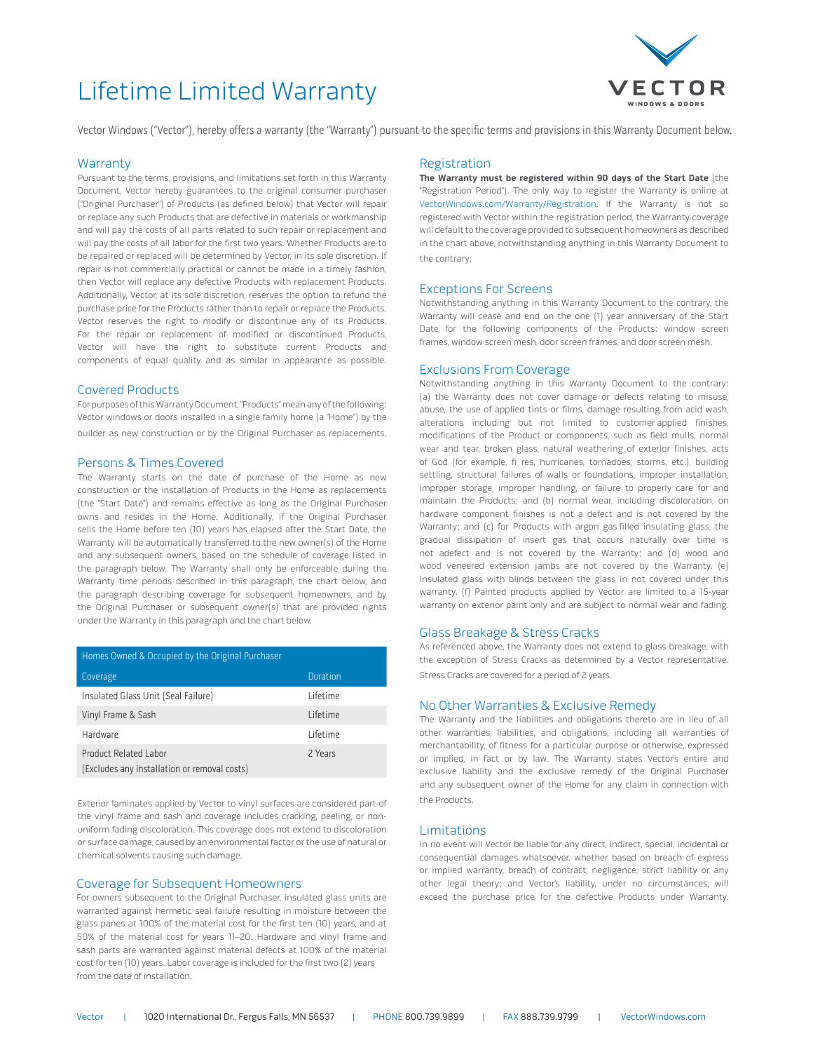# Lifetime Limited Warranty



Vector Windows ("Vector"), hereby offers a warranty (the "Warranty") pursuant to the specific terms and provisions in this Warranty Document below.

### **Warranty**

Pursuant to the terms, provisions, and limitations set forth in this Warranty Document, Vector hereby guarantees to the original consumer purchaser ("Original Purchaser") of Products (as defined below) that Vector will repair or replace any such Products that are defective in materials or workmanship and will pay the costs of all parts related to such repair or replacement and will pay the costs of all labor for the first two years. Whether Products are to be repaired or replaced will be determined by Vector, in its sole discretion. If repair is not commercially practical or cannot be made in a timely fashion, then Vector will replace any defective Products with replacement Products. Additionally, Vector, at its sole discretion, reserves the option to refund the purchase price for the Products rather than to repair or replace the Products. Vector reserves the right to modify or discontinue any of its Products. For the repair or replacement of modified or discontinued Products, Vector will have the right to substitute current Products and components of equal quality and as similar in appearance as possible.

#### Covered Products

For purposes of this Warranty Document, "Products" mean any of the following: Vector windows or doors installed in a single family home (a "Home") by the builder as new construction or by the Original Purchaser as replacements.

#### Persons & Times Covered

The Warranty starts on the date of purchase of the Home as new construction or the installation of Products in the Home as replacements (the "Start Date") and remains effective as long as the Original Purchaser owns and resides in the Home. Additionally, if the Original Purchaser sells the Home before ten (10) years has elapsed after the Start Date, the Warranty will be automatically transferred to the new owner(s) of the Home and any subsequent owners, based on the schedule of coverage listed in the paragraph below. The Warranty shall only be enforceable during the Warranty time periods described in this paragraph, the chart below, and the paragraph describing coverage for subsequent homeowners, and by the Original Purchaser or subsequent owner(s) that are provided rights under the Warranty in this paragraph and the chart below.

| Homes Owned & Occupied by the Original Purchaser                      |                 |
|-----------------------------------------------------------------------|-----------------|
| Coverage                                                              | <b>Duration</b> |
| Insulated Glass Unit (Seal Failure)                                   | Lifetime        |
| Vinyl Frame & Sash                                                    | Lifetime        |
| Hardware                                                              | Lifetime        |
| Product Related Labor<br>(Excludes any installation or removal costs) | 2 Years         |

Exterior laminates applied by Vector to vinyl surfaces are considered part of the vinyl frame and sash and coverage includes cracking, peeling, or nonuniform fading discoloration. This coverage does not extend to discoloration or surface damage, caused by an environmental factor or the use of natural or chemical solvents causing such damage.

#### Coverage for Subsequent Homeowners

For owners subsequent to the Original Purchaser, insulated glass units are warranted against hermetic seal failure resulting in moisture between the glass panes at 100% of the material cost for the first ten (10) years, and at 50% of the material cost for years 11–20. Hardware and vinyl frame and sash parts are warranted against material defects at 100% of the material cost for ten (10) years. Labor coverage is included for the first two (2) years from the date of installation.

#### Registration

**The Warranty must be registered within 90 days of the Start Date** (the "Registration Period"). The only way to register the Warranty is online at VectorWindows.com/Warranty/Registration. If the Warranty is not so registered with Vector within the registration period, the Warranty coverage will default to the coverage provided to subsequent homeowners as described in the chart above, notwithstanding anything in this Warranty Document to the contrary.

#### Exceptions For Screens

Notwithstanding anything in this Warranty Document to the contrary, the Warranty will cease and end on the one (1) year anniversary of the Start Date for the following components of the Products: window screen frames, window screen mesh, door screen frames, and door screen mesh.

#### Exclusions From Coverage

Notwithstanding anything in this Warranty Document to the contrary: (a) the Warranty does not cover damage or defects relating to misuse, abuse, the use of applied tints or films, damage resulting from acid wash, alterations including but not limited to customer applied finishes, modifications of the Product or components, such as field mulls, normal wear and tear, broken glass, natural weathering of exterior finishes, acts of God (for example, fi res, hurricanes, tornadoes, storms, etc.), building settling, structural failures of walls or foundations, improper installation, improper storage, improper handling, or failure to properly care for and maintain the Products; and (b) normal wear, including discoloration, on hardware component finishes is not a defect and is not covered by the Warranty; and (c) for Products with argon gas filled insulating glass, the gradual dissipation of insert gas that occurs naturally over time is not adefect and is not covered by the Warranty; and (d) wood and wood veneered extension jambs are not covered by the Warranty. (e) Insulated glass with blinds between the glass in not covered under this warranty. (f) Painted products applied by Vector are limited to a 15-year warranty on exterior paint only and are subject to normal wear and fading.

## Glass Breakage & Stress Cracks

As referenced above, the Warranty does not extend to glass breakage, with the exception of Stress Cracks as determined by a Vector representative. Stress Cracks are covered for a period of 2 years.

#### No Other Warranties & Exclusive Remedy

The Warranty and the liabilities and obligations thereto are in lieu of all other warranties, liabilities, and obligations, including all warranties of merchantability, of fitness for a particular purpose or otherwise, expressed or implied, in fact or by law. The Warranty states Vector's entire and exclusive liability and the exclusive remedy of the Original Purchaser and any subsequent owner of the Home for any claim in connection with the Products.

#### Limitations

In no event will Vector be liable for any direct, indirect, special, incidental or consequential damages whatsoever, whether based on breach of express or implied warranty, breach of contract, negligence, strict liability or any other legal theory; and Vector's liability, under no circumstances, will exceed the purchase price for the defective Products under Warranty.